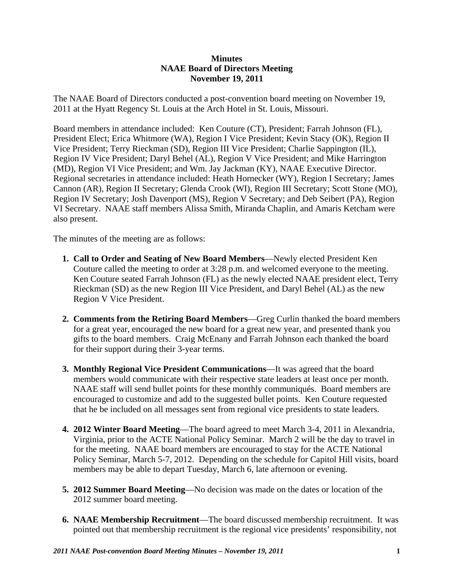## **Minutes NAAE Board of Directors Meeting November 19, 2011**

The NAAE Board of Directors conducted a post-convention board meeting on November 19, 2011 at the Hyatt Regency St. Louis at the Arch Hotel in St. Louis, Missouri.

Board members in attendance included: Ken Couture (CT), President; Farrah Johnson (FL), President Elect; Erica Whitmore (WA), Region I Vice President; Kevin Stacy (OK), Region II Vice President; Terry Rieckman (SD), Region III Vice President; Charlie Sappington (IL), Region IV Vice President; Daryl Behel (AL), Region V Vice President; and Mike Harrington (MD), Region VI Vice President; and Wm. Jay Jackman (KY), NAAE Executive Director. Regional secretaries in attendance included: Heath Hornecker (WY), Region I Secretary; James Cannon (AR), Region II Secretary; Glenda Crook (WI), Region III Secretary; Scott Stone (MO), Region IV Secretary; Josh Davenport (MS), Region V Secretary; and Deb Seibert (PA), Region VI Secretary. NAAE staff members Alissa Smith, Miranda Chaplin, and Amaris Ketcham were also present.

The minutes of the meeting are as follows:

- **1. Call to Order and Seating of New Board Members**—Newly elected President Ken Couture called the meeting to order at 3:28 p.m. and welcomed everyone to the meeting. Ken Couture seated Farrah Johnson (FL) as the newly elected NAAE president elect, Terry Rieckman (SD) as the new Region III Vice President, and Daryl Behel (AL) as the new Region V Vice President.
- **2. Comments from the Retiring Board Members**—Greg Curlin thanked the board members for a great year, encouraged the new board for a great new year, and presented thank you gifts to the board members. Craig McEnany and Farrah Johnson each thanked the board for their support during their 3-year terms.
- **3. Monthly Regional Vice President Communications**—It was agreed that the board members would communicate with their respective state leaders at least once per month. NAAE staff will send bullet points for these monthly communiqués. Board members are encouraged to customize and add to the suggested bullet points. Ken Couture requested that he be included on all messages sent from regional vice presidents to state leaders.
- **4. 2012 Winter Board Meeting**—The board agreed to meet March 3-4, 2011 in Alexandria, Virginia, prior to the ACTE National Policy Seminar. March 2 will be the day to travel in for the meeting. NAAE board members are encouraged to stay for the ACTE National Policy Seminar, March 5-7, 2012. Depending on the schedule for Capitol Hill visits, board members may be able to depart Tuesday, March 6, late afternoon or evening.
- **5. 2012 Summer Board Meeting**—No decision was made on the dates or location of the 2012 summer board meeting.
- **6. NAAE Membership Recruitment**—The board discussed membership recruitment. It was pointed out that membership recruitment is the regional vice presidents' responsibility, not